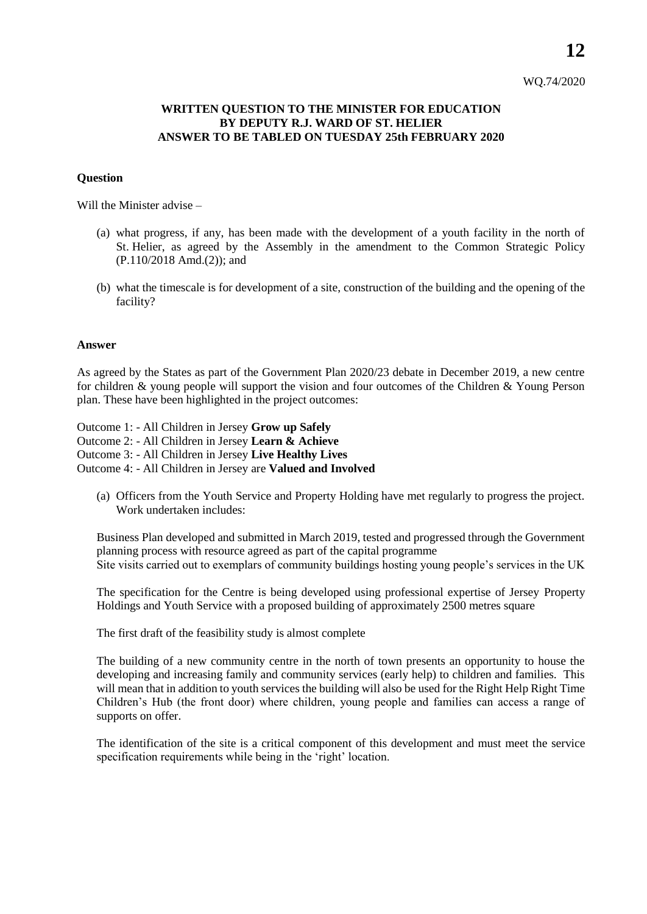# WQ.74/2020

## **WRITTEN QUESTION TO THE MINISTER FOR EDUCATION BY DEPUTY R.J. WARD OF ST. HELIER ANSWER TO BE TABLED ON TUESDAY 25th FEBRUARY 2020**

### **Question**

Will the Minister advise –

- (a) what progress, if any, has been made with the development of a youth facility in the north of St. Helier, as agreed by the Assembly in the amendment to the Common Strategic Policy (P.110/2018 Amd.(2)); and
- (b) what the timescale is for development of a site, construction of the building and the opening of the facility?

#### **Answer**

As agreed by the States as part of the Government Plan 2020/23 debate in December 2019, a new centre for children & young people will support the vision and four outcomes of the Children & Young Person plan. These have been highlighted in the project outcomes:

Outcome 1: - All Children in Jersey **Grow up Safely** Outcome 2: - All Children in Jersey **Learn & Achieve** Outcome 3: - All Children in Jersey **Live Healthy Lives** Outcome 4: - All Children in Jersey are **Valued and Involved**

(a) Officers from the Youth Service and Property Holding have met regularly to progress the project. Work undertaken includes:

Business Plan developed and submitted in March 2019, tested and progressed through the Government planning process with resource agreed as part of the capital programme Site visits carried out to exemplars of community buildings hosting young people's services in the UK

The specification for the Centre is being developed using professional expertise of Jersey Property Holdings and Youth Service with a proposed building of approximately 2500 metres square

The first draft of the feasibility study is almost complete

The building of a new community centre in the north of town presents an opportunity to house the developing and increasing family and community services (early help) to children and families. This will mean that in addition to youth services the building will also be used for the Right Help Right Time Children's Hub (the front door) where children, young people and families can access a range of supports on offer.

The identification of the site is a critical component of this development and must meet the service specification requirements while being in the 'right' location.